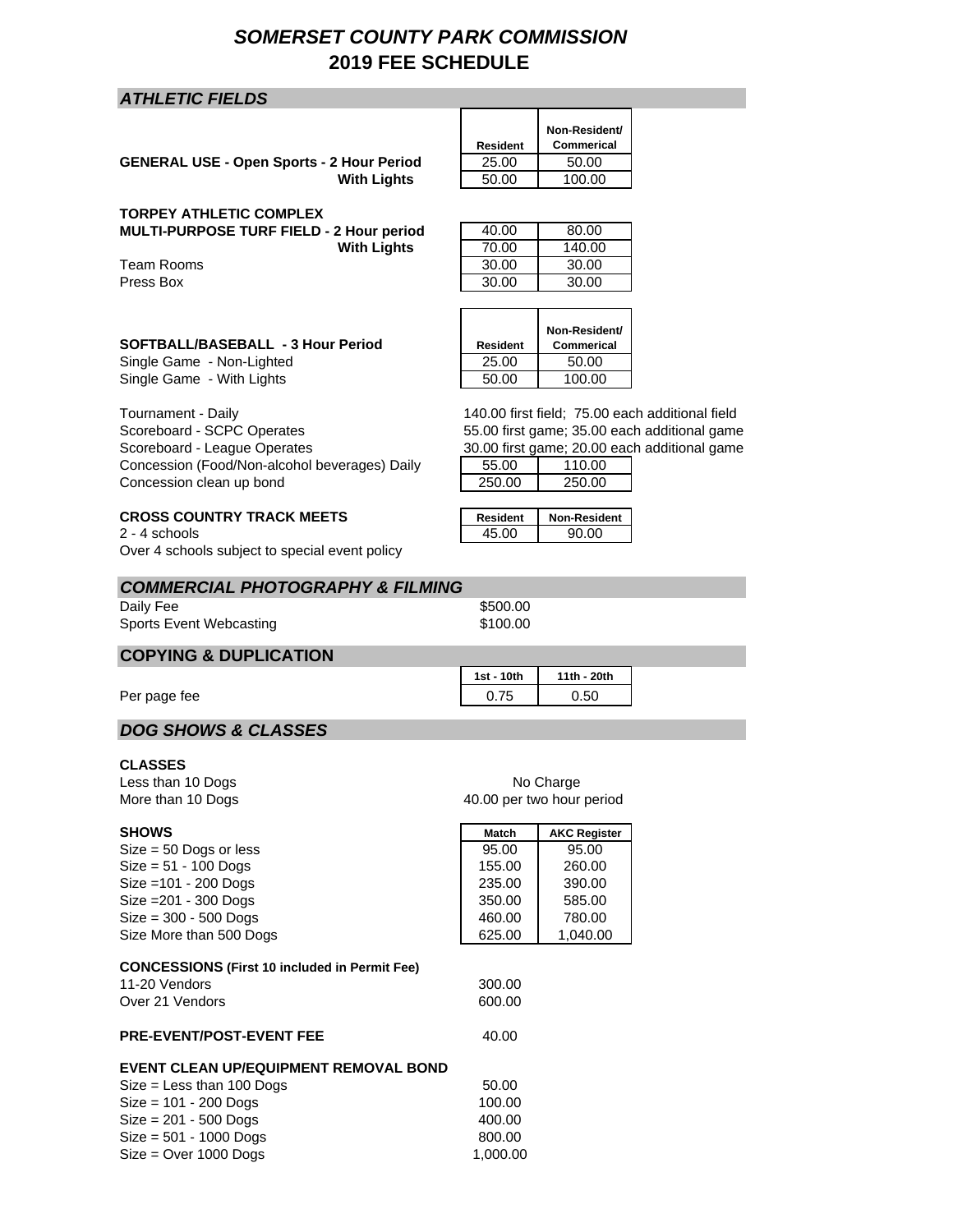# *SOMERSET COUNTY PARK COMMISSION* **2019 FEE SCHEDULE**

### *ATHLETIC FIELDS*

| <b>GENERAL USE - Open Sports - 2 Hour Period</b> | 25.00 | 50.00  |
|--------------------------------------------------|-------|--------|
| <b>With Lights</b>                               | 50.00 | 100.00 |

#### **TORPEY ATHLETIC COMPLEX**

Scoreboard - SCPC Operates Scoreboard - League Operates

Concession clean up bond

Tournament - Daily

**MULTI-PURPOSE TURF FIELD - 2 Hour period** 

Team Rooms Press Box 30.00 30.00

| <b>With Lights</b> | 50.00 | 100.00 |  |
|--------------------|-------|--------|--|
|                    |       |        |  |
| 2 Hour period      | 40.00 | 80.00  |  |
| <b>With Lights</b> | 70.00 | 140.00 |  |
|                    | 30.00 | 30.00  |  |

**Non-Resident/ Commerical**

**Resident**

| SOFTBALL/BASEBALL - 3 Hour Period | Resident | Non-Resident/<br>Commerical |
|-----------------------------------|----------|-----------------------------|
| Single Game - Non-Lighted         | 25.00    | 50.00                       |
| Single Game - With Lights         | 50.00    | 100.00                      |

140.00 first field; 75.00 each additional field 55.00 first game; 35.00 each additional game 30.00 first game; 20.00 each additional game

|        | 00.00 mot game, 20.00 cat |
|--------|---------------------------|
| 55.00  | 110.00                    |
| 250.00 | 250.00                    |

| <b>Resident</b> | <b>Non-Resident</b> |
|-----------------|---------------------|
| 45.OO           | 90.00               |

 $2 - 4$  schools Over 4 schools subject to special event policy

**CROSS COUNTRY TRACK MEETS** 

Concession (Food/Non-alcohol beverages) Daily

| <b>COMMERCIAL PHOTOGRAPHY &amp; FILMING</b> |          |  |
|---------------------------------------------|----------|--|
| Daily Fee                                   | \$500.00 |  |
| Sports Event Webcasting                     | \$100.00 |  |

# **COPYING & DUPLICATION**

Per page fee 0.50

### *DOG SHOWS & CLASSES*

#### **CLASSES**

Less than 10 Dogs More than 10 Dogs

| <b>SHOWS</b>                                         | Match    | <b>AKC Register</b> |
|------------------------------------------------------|----------|---------------------|
| $Size = 50$ Dogs or less                             | 95.00    | 95.00               |
| $Size = 51 - 100$ Dogs                               | 155.00   | 260.00              |
| $Size = 101 - 200$ Dogs                              | 235.00   | 390.00              |
| $Size = 201 - 300$ Dogs                              | 350.00   | 585.00              |
| $Size = 300 - 500$ Dogs                              | 460.00   | 780.00              |
| Size More than 500 Dogs                              | 625.00   | 1,040.00            |
|                                                      |          |                     |
| <b>CONCESSIONS (First 10 included in Permit Fee)</b> |          |                     |
| 11-20 Vendors                                        | 300.00   |                     |
| Over 21 Vendors                                      | 600.00   |                     |
|                                                      |          |                     |
| <b>PRE-EVENT/POST-EVENT FEE</b>                      | 40.00    |                     |
| EVENT CLEAN UP/EQUIPMENT REMOVAL BOND                |          |                     |
|                                                      | 50.00    |                     |
| $Size = Less than 100$ Dogs                          |          |                     |
| $Size = 101 - 200$ Dogs                              | 100.00   |                     |
| $Size = 201 - 500$ Dogs                              | 400.00   |                     |
| $Size = 501 - 1000$ Dogs                             | 800.00   |                     |
| $Size = Over 1000$ Dogs                              | 1,000.00 |                     |

40.00 per two hour period No Charge

**1st - 10th 11th - 20th**

| Match  | <b>AKC Register</b> |
|--------|---------------------|
| 95.00  | 95.00               |
| 155.00 | 260.00              |
|        |                     |

| <b>HOLOD POI INTO HOUR POITOR</b> |        |                     |  |
|-----------------------------------|--------|---------------------|--|
|                                   | Match  | <b>AKC Register</b> |  |
|                                   | 95.00  | 95.00               |  |
|                                   | 155.00 | 260.00              |  |
|                                   | חח בפפ | ∩∩פ                 |  |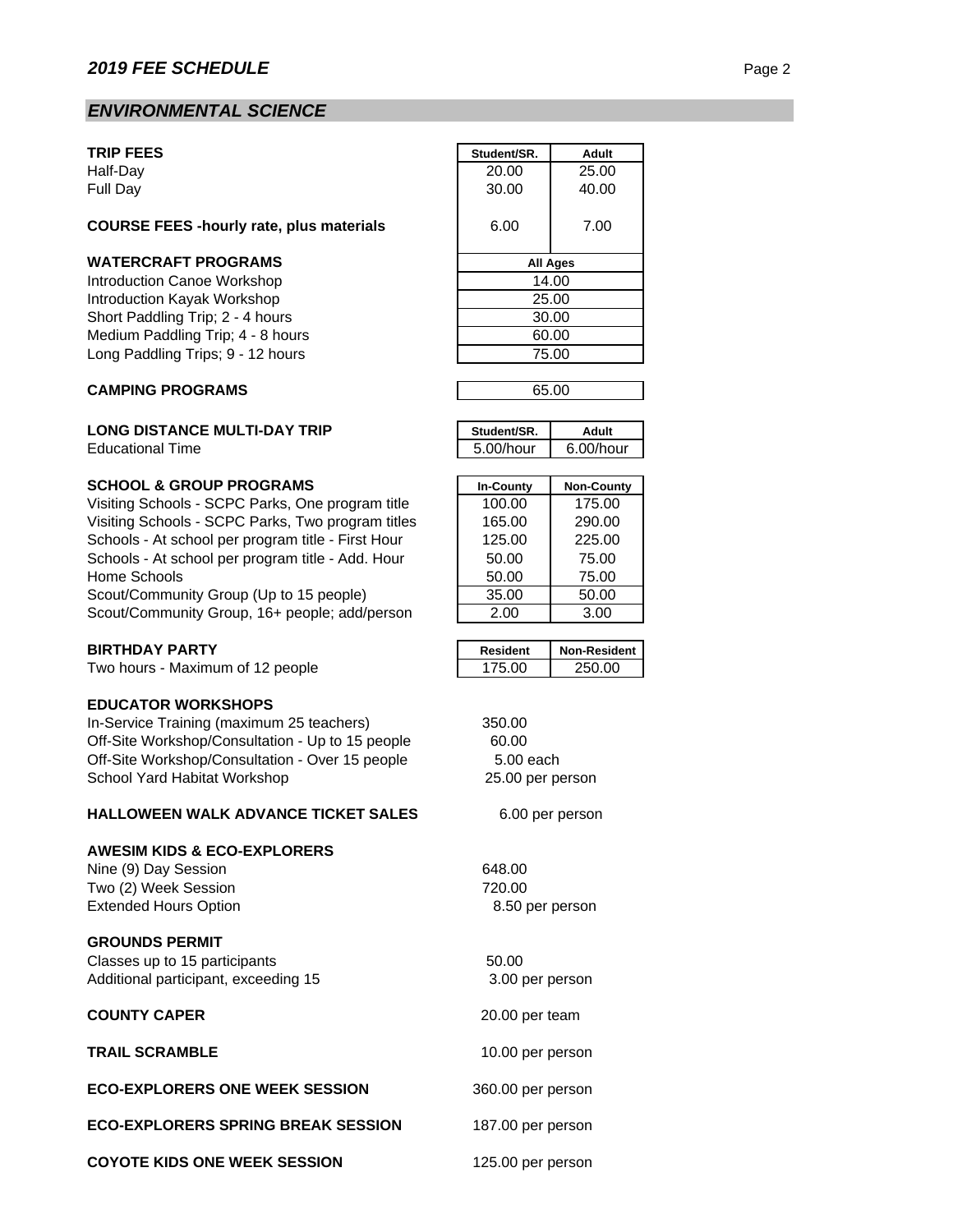# *ENVIRONMENTAL SCIENCE*

#### **TRIP FEES**

### **COURSE FEES -hourly rate, plus materials** 6.00 7.00

#### **WATERCRAFT PROGRAMS**

#### **CAMPING PROGRAMS**

#### **LONG DISTANCE MULTI-DAY TRIP**

**Educational Time** 

#### **SCHOOL & GROUP PROGRAMS**

Visiting Schools - SCPC Parks, One program title Visiting Schools - SCPC Parks, Two program titles Schools - At school per program title - First Hour Schools - At school per program title - Add. Hour Home Schools Scout/Community Group (Up to 15 people) Scout/Community Group, 16+ people; add/person

#### **BIRTHDAY PARTY**

Two hours - Maximum of 12 people

### **EDUCATOR WORKSHOPS**

In-Service Training (maximum 25 teachers) Off-Site Workshop/Consultation - Up to 15 people Off-Site Workshop/Consultation - Over 15 people School Yard Habitat Workshop

#### **HALLOWEEN WALK ADVANCE TICKET SALES**

#### **AWESIM KIDS & ECO-EXPLORERS**

Nine (9) Day Session 648.00 Two (2) Week Session 720.00 Extended Hours Option

#### **GROUNDS PERMIT**

Classes up to 15 participants 60.00 Additional participant, exceeding 15

#### **COUNTY CAPER**

**TRAIL SCRAMBLE**

### **ECO-EXPLORERS ONE WEEK SESSION**

**ECO-EXPLORERS SPRING BREAK SESSION**

**COYOTE KIDS ONE WEEK SESSION**

| <b>TRIP FEES</b>                                | Student/SR.     | Adult |
|-------------------------------------------------|-----------------|-------|
| Half-Dav                                        | 20.00           | 25.00 |
| Full Day                                        | 30.00           | 40.00 |
| <b>COURSE FEES -hourly rate, plus materials</b> | 6.00            | 7.00  |
| <b>WATERCRAFT PROGRAMS</b>                      | <b>All Ages</b> |       |
| Introduction Canoe Workshop                     | 14.00           |       |
| Introduction Kayak Workshop                     | 25.00           |       |
| Short Paddling Trip; 2 - 4 hours                | 30.00           |       |
| Medium Paddling Trip; 4 - 8 hours               | 60.00           |       |
| Long Paddling Trips; 9 - 12 hours               | 75.00           |       |
|                                                 |                 |       |

| 65.00 |  |
|-------|--|
|       |  |

| Student/SR.  | HubA         |
|--------------|--------------|
| $5.00/h$ our | $6.00/h$ our |

| <b>In-County</b> | <b>Non-County</b> |
|------------------|-------------------|
| 100.00           | 175.00            |
| 165.00           | 290.00            |
| 125.00           | 225.00            |
| 50.00            | 75.00             |
| 50.00            | 75.00             |
| 35.00            | 50.00             |
| 2.00             | 3.00              |

| Resident | <b>Non-Resident</b> |
|----------|---------------------|
| 75 NO    | 250.00              |

| 350.00           |
|------------------|
| 60.00            |
| 5.00 each        |
| 25.00 per person |
|                  |

6.00 per person

8.50 per person

 3.00 per person 20.00 per team

10.00 per person

125.00 per person

360.00 per person

187.00 per person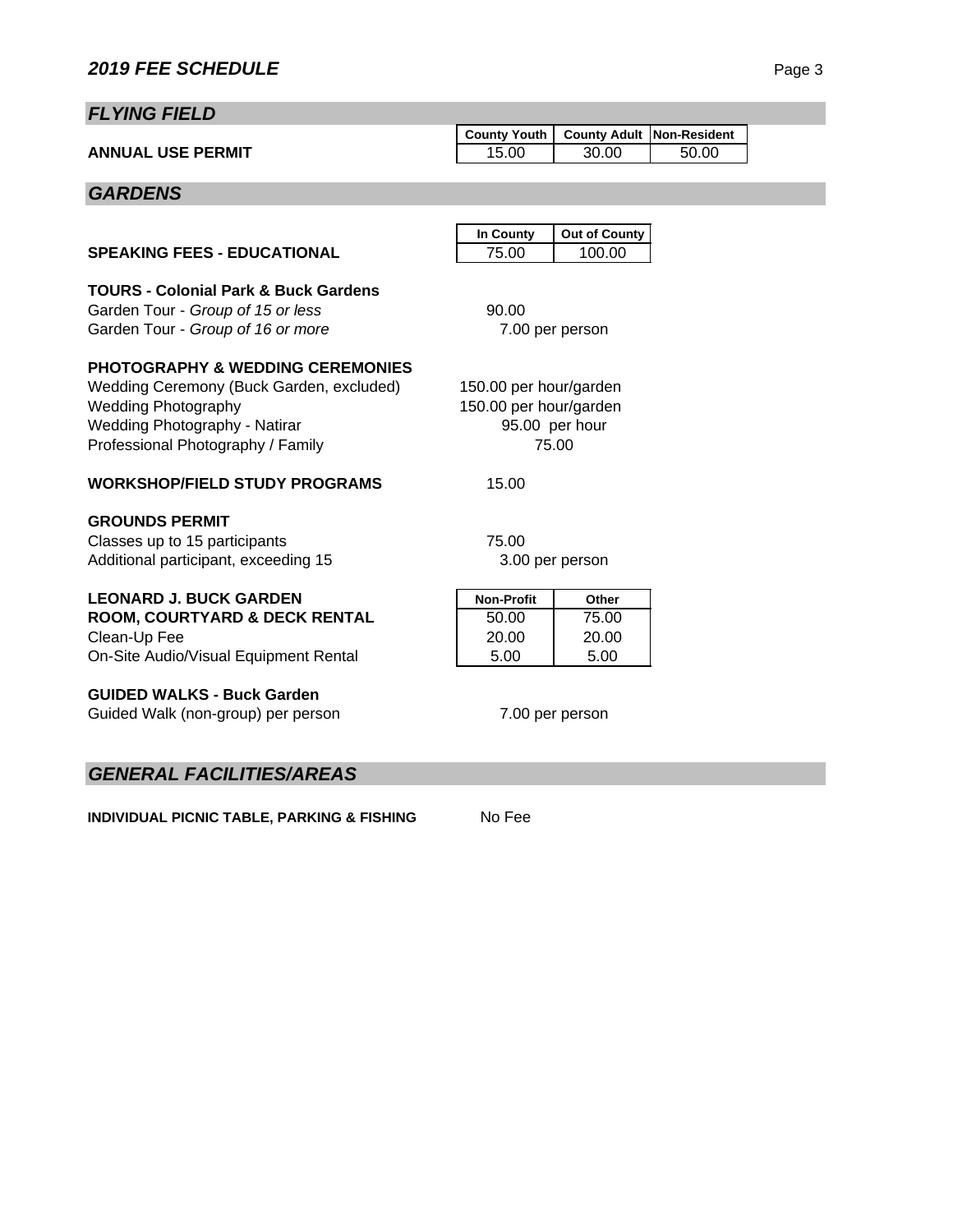# *FLYING FIELD*

|                          | County Youth   County Adult   Non-Resident |       |       |  |
|--------------------------|--------------------------------------------|-------|-------|--|
| <b>ANNUAL USE PERMIT</b> | 15.00                                      | 30.00 | 50.00 |  |
|                          |                                            |       |       |  |

# *GARDENS*

|                                                       | In County              | <b>Out of County</b> |  |  |  |
|-------------------------------------------------------|------------------------|----------------------|--|--|--|
| <b>SPEAKING FEES - EDUCATIONAL</b>                    | 75.00                  | 100.00               |  |  |  |
| <b>TOURS - Colonial Park &amp; Buck Gardens</b>       |                        |                      |  |  |  |
| Garden Tour - Group of 15 or less                     | 90.00                  |                      |  |  |  |
| Garden Tour - Group of 16 or more                     |                        | 7.00 per person      |  |  |  |
|                                                       |                        |                      |  |  |  |
| <b>PHOTOGRAPHY &amp; WEDDING CEREMONIES</b>           |                        |                      |  |  |  |
| Wedding Ceremony (Buck Garden, excluded)              | 150.00 per hour/garden |                      |  |  |  |
| <b>Wedding Photography</b>                            | 150.00 per hour/garden |                      |  |  |  |
| <b>Wedding Photography - Natirar</b>                  |                        | 95.00 per hour       |  |  |  |
| Professional Photography / Family                     |                        | 75.00                |  |  |  |
|                                                       |                        |                      |  |  |  |
| <b>WORKSHOP/FIELD STUDY PROGRAMS</b>                  | 15.00                  |                      |  |  |  |
| <b>GROUNDS PERMIT</b>                                 |                        |                      |  |  |  |
| Classes up to 15 participants                         | 75.00                  |                      |  |  |  |
| Additional participant, exceeding 15                  | 3.00 per person        |                      |  |  |  |
|                                                       |                        |                      |  |  |  |
| <b>LEONARD J. BUCK GARDEN</b>                         | <b>Non-Profit</b>      | Other                |  |  |  |
| ROOM, COURTYARD & DECK RENTAL                         | 50.00                  | 75.00                |  |  |  |
| Clean-Up Fee                                          | 20.00                  | 20.00                |  |  |  |
| On-Site Audio/Visual Equipment Rental                 | 5.00                   | 5.00                 |  |  |  |
|                                                       |                        |                      |  |  |  |
| <b>GUIDED WALKS - Buck Garden</b>                     |                        |                      |  |  |  |
| Guided Walk (non-group) per person<br>7.00 per person |                        |                      |  |  |  |
|                                                       |                        |                      |  |  |  |
|                                                       |                        |                      |  |  |  |

# *GENERAL FACILITIES/AREAS*

**INDIVIDUAL PICNIC TABLE, PARKING & FISHING** No Fee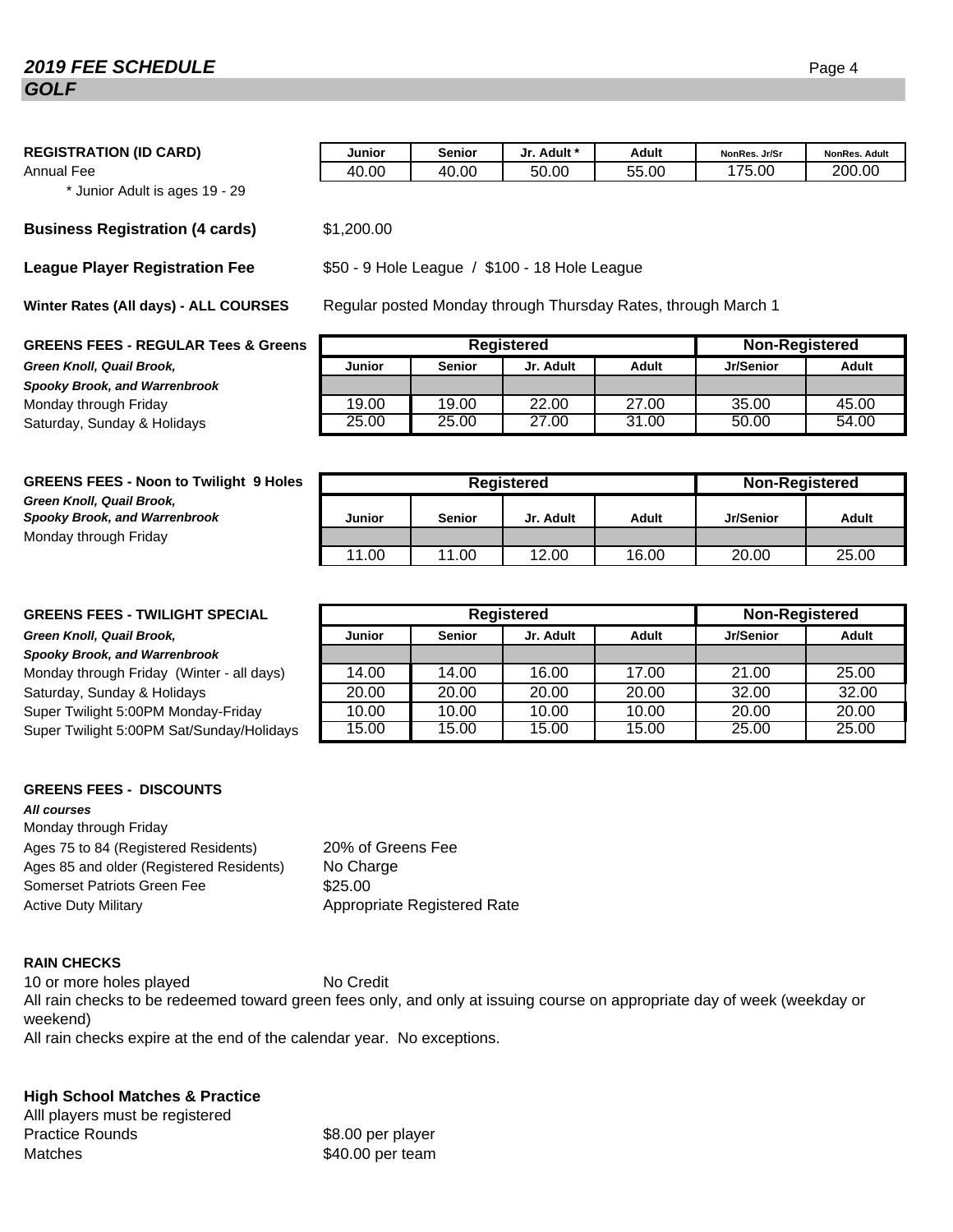# **2019 FEE SCHEDULE** Page 4 *GOLF*

| <b>REGISTRATION (ID CARD)</b> | Junior | <b>Senior</b> | Jr. Adult * | Adult | NonRes. Jr/Sr | <b>NonRes. Adult</b> |
|-------------------------------|--------|---------------|-------------|-------|---------------|----------------------|
| Annual Fee                    | 40.00  | 40.00         | 50.00       | 55.00 | 175.00        | 200.00               |

\* Junior Adult is ages 19 - 29

#### **Business Registration (4 cards)** \$1,200.00

**League Player Registration Fee**

**Winter Rates (All days) - ALL COURSES**

#### **GREENS FEES - REGULAR Tees &**

**Green Knoll, Quail Brook.** *Spooky Brook, and Warrenbrook* Monday through Friday Saturday, Sunday & Holidays.

| Regular posted Monday through Thursday Rates, through March 1<br><b>RSES</b> |                                            |               |           |       |           |       |  |  |  |
|------------------------------------------------------------------------------|--------------------------------------------|---------------|-----------|-------|-----------|-------|--|--|--|
| Greens                                                                       | <b>Non-Registered</b><br><b>Registered</b> |               |           |       |           |       |  |  |  |
|                                                                              | <b>Junior</b>                              | <b>Senior</b> | Jr. Adult | Adult | Jr/Senior | Adult |  |  |  |
|                                                                              |                                            |               |           |       |           |       |  |  |  |
|                                                                              | 19.00                                      | 19.00         | 22.00     | 27.00 | 35.00     | 45.00 |  |  |  |
|                                                                              | 25.00                                      | 25.00         | 27.00     | 31.00 | 50.00     | 54.00 |  |  |  |

| <b>GREENS FEES - Noon to Twilight 9 Holes</b>                     | Registered |               |           |       | <b>Non-Registered</b> |       |  |
|-------------------------------------------------------------------|------------|---------------|-----------|-------|-----------------------|-------|--|
| Green Knoll, Quail Brook,<br><b>Spooky Brook, and Warrenbrook</b> | Junior     | <b>Senior</b> | Jr. Adult | Adult | Jr/Senior             | Adult |  |
| Monday through Friday                                             |            |               |           |       |                       |       |  |
|                                                                   | 11.00      | 11.00         | 12.00     | 16.00 | 20.00                 | 25.00 |  |

\$50 - 9 Hole League / \$100 - 18 Hole League

#### **GREENS FEES - TWILIGHT SPECIAL**

#### **Green Knoll, Quail Brook,**

#### *Spooky Brook, and Warrenbrook*

#### **GREENS FEES - DISCOUNTS**

### *All courses*

Monday through Friday Ages 75 to 84 (Registered Residents) Ages 85 and older (Registered Residents) Somerset Patriots Green Fee  $$25.00$ Active Duty Military **Appropriate Registered Rate** 

20% of Greens Fee No Charge

# **RAIN CHECKS**

10 or more holes played No Credit All rain checks expire at the end of the calendar year. No exceptions. All rain checks to be redeemed toward green fees only, and only at issuing course on appropriate day of week (weekday or weekend)

# **High School Matches & Practice**

| All players must be registered |                   |
|--------------------------------|-------------------|
| <b>Practice Rounds</b>         | \$8.00 per player |
| <b>Matches</b>                 | \$40.00 per team  |

| <b>GREENS FEES - TWILIGHT SPECIAL</b>     | Registered                                           |       |       |       | <b>Non-Registered</b> |       |
|-------------------------------------------|------------------------------------------------------|-------|-------|-------|-----------------------|-------|
| Green Knoll, Quail Brook,                 | <b>Senior</b><br>Jr. Adult<br><b>Junior</b><br>Adult |       |       |       | Jr/Senior             | Adult |
| Spooky Brook, and Warrenbrook             |                                                      |       |       |       |                       |       |
| Monday through Friday (Winter - all days) | 14.00                                                | 14.00 | 16.00 | 17.00 | 21.00                 | 25.00 |
| Saturday, Sunday & Holidays               | 20.00                                                | 20.00 | 20.00 | 20.00 | 32.00                 | 32.00 |
| Super Twilight 5:00PM Monday-Friday       | 10.00                                                | 10.00 | 10.00 | 10.00 | 20.00                 | 20.00 |
| Super Twilight 5:00PM Sat/Sunday/Holidays | 15.00                                                | 15.00 | 15.00 | 15.00 | 25.00                 | 25.00 |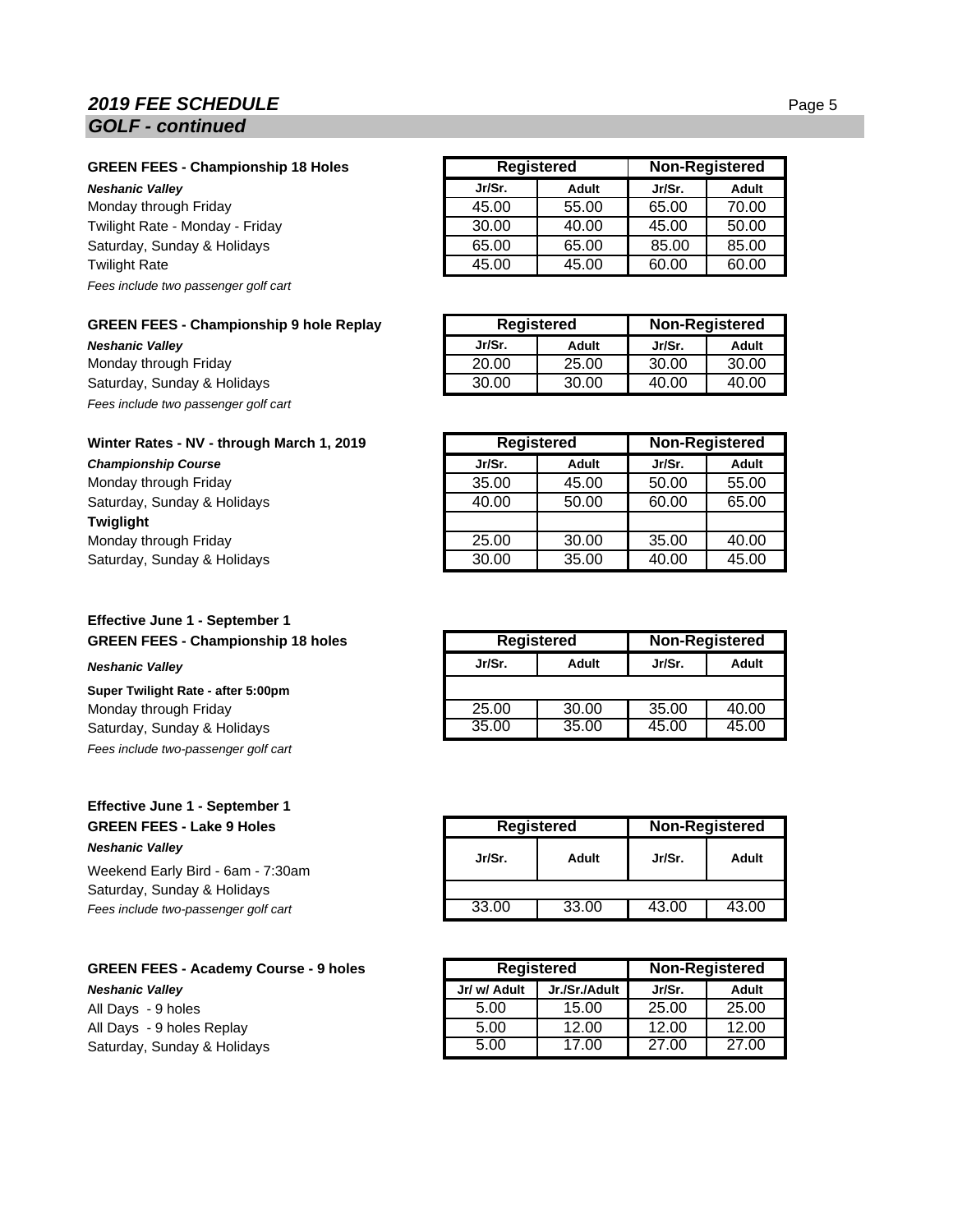# **2019 FEE SCHEDULE** Page 5 *GOLF - continued*

#### **GREEN FEES - Championship 18 Holes**

**Neshanic Valley** 

Monday through Friday Twilight Rate - Monday - Friday Saturday, Sunday & Holidays **Twilight Rate** *Fees include two passenger golf cart*

|  | GREEN FEES - Championship 9 hole Replay |  |  |
|--|-----------------------------------------|--|--|
|  |                                         |  |  |

**Neshanic Vallev** Monday through Friday Saturday, Sunday & Holidays *Fees include two passenger golf cart*

#### **Winter Rates - NV - through March 1, 2019**

**Championship Course** Monday through Friday Saturday, Sunday & Holidays **Twiglight** Monday through Friday Saturday, Sunday & Holidays.

### **Effective June 1 - September 1 GREEN FEES - Championship 18 holes**

#### **Neshanic Valley**

**Super Twilight Rate - after 5:00pm** Monday through Friday Saturday, Sunday & Holidays. *Fees include two-passenger golf cart*

# **Effective June 1 - September 1 GREEN FEES - Lake 9 Holes** *Neshanic Valley*

Weekend Early Bird - 6am - 7:30am Saturday, Sunday & Holidays **Fees include two-passenger golf cart** 

### **GREEN FEES - Academy Course - 9 holes Neshanic Valley** All Days - 9 holes All Days - 9 holes Replay Saturday, Sunday & Holidays.

| <b>Registered</b> |       | <b>Non-Registered</b> |       |
|-------------------|-------|-----------------------|-------|
| Jr/Sr.            | Adult | Jr/Sr.                | Adult |
| 45.00             | 55.00 | 65.00                 | 70.00 |
| 30.00             | 40.00 | 45.00                 | 50.00 |
| 65.00             | 65.00 | 85.00                 | 85.00 |
| 45.00             | 45.00 | 60.00                 | 60.00 |

| Registered |       | <b>Non-Registered</b> |       |
|------------|-------|-----------------------|-------|
| Jr/Sr.     | Adult | Jr/Sr.                | Adult |
| 20.00      | 25.00 | 30.00                 | 30.00 |
| 30.00      | 30.00 | 40.00                 | 40.00 |

|        | <b>Registered</b> |        | <b>Non-Registered</b> |  |
|--------|-------------------|--------|-----------------------|--|
| Jr/Sr. | Adult             | Jr/Sr. | <b>Adult</b>          |  |
| 35.00  | 45.00             | 50.00  | 55.00                 |  |
| 40.00  | 50.00             | 60.00  | 65.00                 |  |
|        |                   |        |                       |  |
| 25.00  | 30.00             | 35.00  | 40.00                 |  |
| 30.00  | 35.00             | 40.00  | 45.00                 |  |

| <b>Registered</b> |       | Non-Registered  |       |
|-------------------|-------|-----------------|-------|
| Jr/Sr.            | Adult | Jr/Sr.<br>Adult |       |
|                   |       |                 |       |
| 25.00             | 30.00 | 35.00           | 40.00 |
| 35.00             | 35.00 | 45.00           | 45.00 |

| <b>Registered</b> |       | <b>Non-Registered</b> |       |
|-------------------|-------|-----------------------|-------|
| Jr/Sr.            | Adult | Jr/Sr.                | Adult |
|                   |       |                       |       |
| 33.00             | 33.00 | 43.00                 | 43.00 |

| <b>Registered</b> |               |        | Non-Registered |
|-------------------|---------------|--------|----------------|
| Jr/ w/ Adult      | Jr./Sr./Adult | Jr/Sr. | Adult          |
| 5.00              | 15.00         | 25.00  | 25.00          |
| 5.00              | 12.00         | 12.00  | 12.00          |
| 5.00              | 17.00         | 27.00  | 27.00          |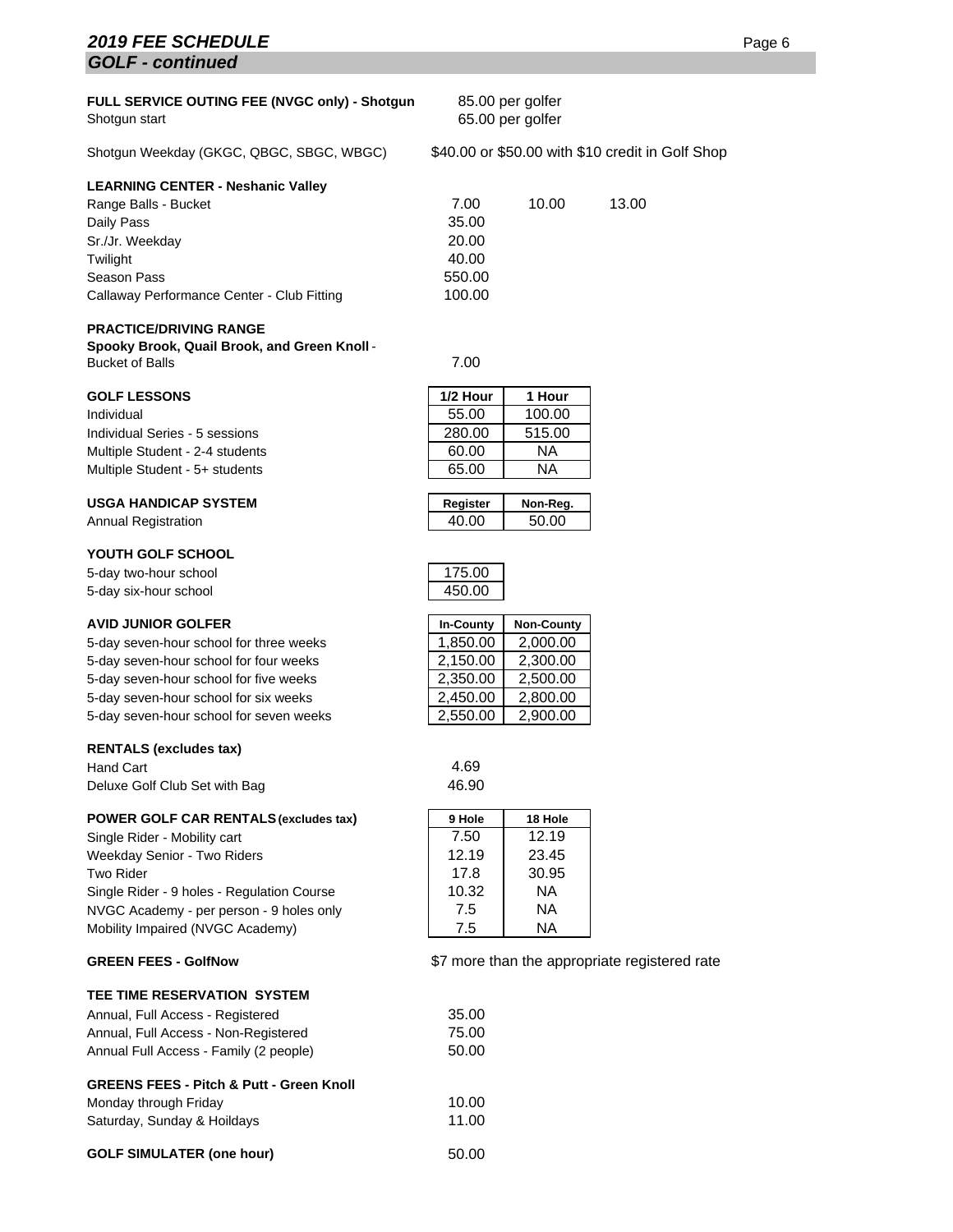# **2019 FEE SCHEDULE** Page 6 *GOLF - continued*

| FULL SERVICE OUTING FEE (NVGC only) - Shotgun<br>Shotgun start | 85.00 per golfer<br>65.00 per golfer |       |                                                  |
|----------------------------------------------------------------|--------------------------------------|-------|--------------------------------------------------|
| Shotqun Weekday (GKGC, QBGC, SBGC, WBGC)                       |                                      |       | \$40.00 or \$50.00 with \$10 credit in Golf Shop |
| <b>LEARNING CENTER - Neshanic Valley</b>                       |                                      |       |                                                  |
| Range Balls - Bucket                                           | 7.00                                 | 10.00 | 13.00                                            |
| Daily Pass                                                     | 35.00                                |       |                                                  |
| Sr./Jr. Weekday                                                | 20.00                                |       |                                                  |
| Twilight                                                       | 40.00                                |       |                                                  |
| Season Pass                                                    | 550.00                               |       |                                                  |
| Callaway Performance Center - Club Fitting                     | 100.00                               |       |                                                  |
| <b>PRACTICE/DRIVING RANGE</b>                                  |                                      |       |                                                  |

**Spooky Brook, Quail Brook, and Green Knoll** - Bucket of Balls 7.00

#### **GOLF LESSONS**

Individual 55.00 100.00 Individual Series - 5 sessions Multiple Student - 2-4 students Multiple Student - 5+ students

#### **USGA HANDICAP SYSTEM**

**Annual Registration** 

#### **YOUTH GOLF SCHOOL**

5-day two-hour school 5-day six-hour school

#### **AVID JUNIOR GOLFER**

5-day seven-hour school for three weeks 5-day seven-hour school for four weeks 5-day seven-hour school for five weeks 5-day seven-hour school for six weeks 5-day seven-hour school for seven weeks

#### **RENTALS (excludes tax)**

Hand Cart 4.69 Deluxe Golf Club Set with Bag 46.90

#### **POWER GOLF CAR RENTALS (excludes tax)**

Single Rider - Mobility cart Weekday Senior - Two Riders Two Rider Single Rider - 9 holes - Regulation Course NVGC Academy - per person - 9 holes only Mobility Impaired (NVGC Academy)

#### **GREEN FEES - GolfNow**

#### **TEE TIME RESERVATION SYSTEM**

| Annual, Full Access - Registered       | 35.00 |
|----------------------------------------|-------|
| Annual, Full Access - Non-Registered   | 75.00 |
| Annual Full Access - Family (2 people) | 50.00 |

#### **GREENS FEES - Pitch & Putt - Green Knoll**

| Monday through Friday       | 10.00 |
|-----------------------------|-------|
| Saturday, Sunday & Hoildays | 11.00 |
|                             |       |

#### GOLF SIMULATER (one hour) 50.00

| 1/2 Hour | 1 Hour |
|----------|--------|
| 55.00    | 100.00 |
| 280.00   | 515.00 |
| 60.00    | ΝA     |
| 65.00    | NΑ     |
|          |        |

| Register | Non-Reg. |
|----------|----------|
| 4በ በበ    | 50.00    |
|          |          |

| 75 G<br>,, |  |
|------------|--|
| 5000       |  |

| <b>In-County</b> | <b>Non-County</b> |
|------------------|-------------------|
| 1,850.00         | 2,000.00          |
| 2,150.00         | 2,300.00          |
| 2,350.00         | 2,500.00          |
| 2,450.00         | 2,800.00          |
| 2,550.00         | 2,900.00          |

| 9 Hole | 18 Hole |
|--------|---------|
| 7.50   | 12.19   |
| 12.19  | 23.45   |
| 17.8   | 30.95   |
| 10.32  | ΝA      |
| 7.5    | ΝA      |
| 7.5    | ΝA      |

#### appropriate registered rate

| 10.32             |  |
|-------------------|--|
| 7.5               |  |
| 7.5               |  |
| \$7 more than the |  |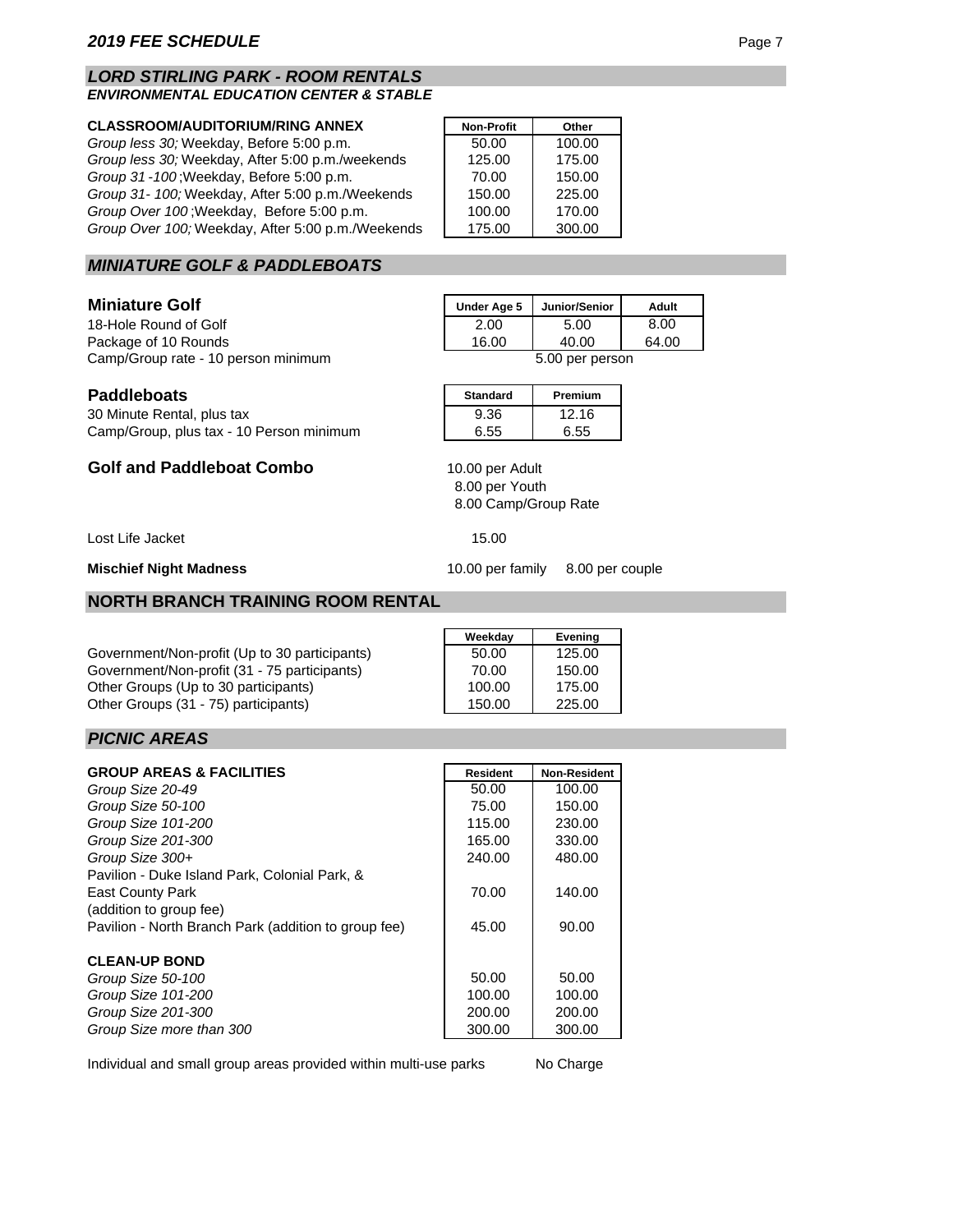#### *LORD STIRLING PARK - ROOM RENTALS ENVIRONMENTAL EDUCATION CENTER & STABLE*

#### **CLASSROOM/AUDITORIUM/RING ANNEX**

*Group less 30;* Weekday, Before 5:00 p.m. *Group less 30; Weekday, After 5:00 p.m./weekends Group 31 - 100* ; Weekday, Before 5:00 p.m. *Group 31- 100;* Weekday, After 5:00 p.m./Weekends *Group Over 100* ; Weekday, Before 5:00 p.m. *Group Over 100;* Weekday, After 5:00 p.m./Weekends

| <b>Non-Profit</b> | Other  |
|-------------------|--------|
| 50.00             | 100.00 |
| 125.00            | 175.00 |
| 70.00             | 150.00 |
| 150.00            | 225.00 |
| 100.00            | 170.00 |
| 175.00            | 300.00 |

### *MINIATURE GOLF & PADDLEBOATS*

#### **Miniature Golf**

18-Hole Round of Golf Package of 10 Rounds Camp/Group rate - 10 person minimum 5.00 per person

| Under Age 5 | Junior/Senior | Adult |
|-------------|---------------|-------|
| 2.00        | 5.00          | 8.00  |
| 16.00       | 40.00         | 64.00 |
| nor noroon  |               |       |

| <b>Paddleboats</b> | <b>Standard</b> | <b>Premium</b> |
|--------------------|-----------------|----------------|
| -----              |                 |                |

30 Minute Rental, plus tax 9.36 12.16 Camp/Group, plus tax - 10 Person minimum | 6.55 6.55

**Golf and Paddleboat Combo**

Lost Life Jacket 15.00

**Mischief Night Madness**

#### **NORTH BRANCH TRAINING ROOM RENTAL**

Government/Non-profit (Up to 30 participants) Government/Non-profit (31 - 75 participants) Other Groups (Up to 30 participants) Other Groups (31 - 75) participants)

| Weekday | Evening |
|---------|---------|
| 50.00   | 125.00  |
| 70.00   | 150.00  |
| 100.00  | 175.00  |
| 150.00  | 225.00  |

### *PICNIC AREAS*

| <b>GROUP AREAS &amp; FACILITIES</b>                  | <b>Resident</b> | <b>Non-Resident</b> |
|------------------------------------------------------|-----------------|---------------------|
| Group Size 20-49                                     | 50.00           | 100.00              |
| Group Size 50-100                                    | 75.00           | 150.00              |
| Group Size 101-200                                   | 115.00          | 230.00              |
| Group Size 201-300                                   | 165.00          | 330.00              |
| Group Size $300+$                                    | 240.00          | 480.00              |
| Pavilion - Duke Island Park, Colonial Park, &        |                 |                     |
| <b>East County Park</b>                              | 70.00           | 140.00              |
| (addition to group fee)                              |                 |                     |
| Pavilion - North Branch Park (addition to group fee) | 45.00           | 90.00               |
| <b>CLEAN-UP BOND</b>                                 |                 |                     |
| Group Size 50-100                                    | 50.00           | 50.00               |
| Group Size 101-200                                   | 100.00          | 100.00              |
| Group Size 201-300                                   | 200.00          | 200.00              |
| Group Size more than 300                             | 300.00          | 300.00              |

Individual and small group areas provided within multi-use parks

No Charge

10.00 per family 8.00 per couple

8.00 Camp/Group Rate

8.00 per Youth

10.00 per Adult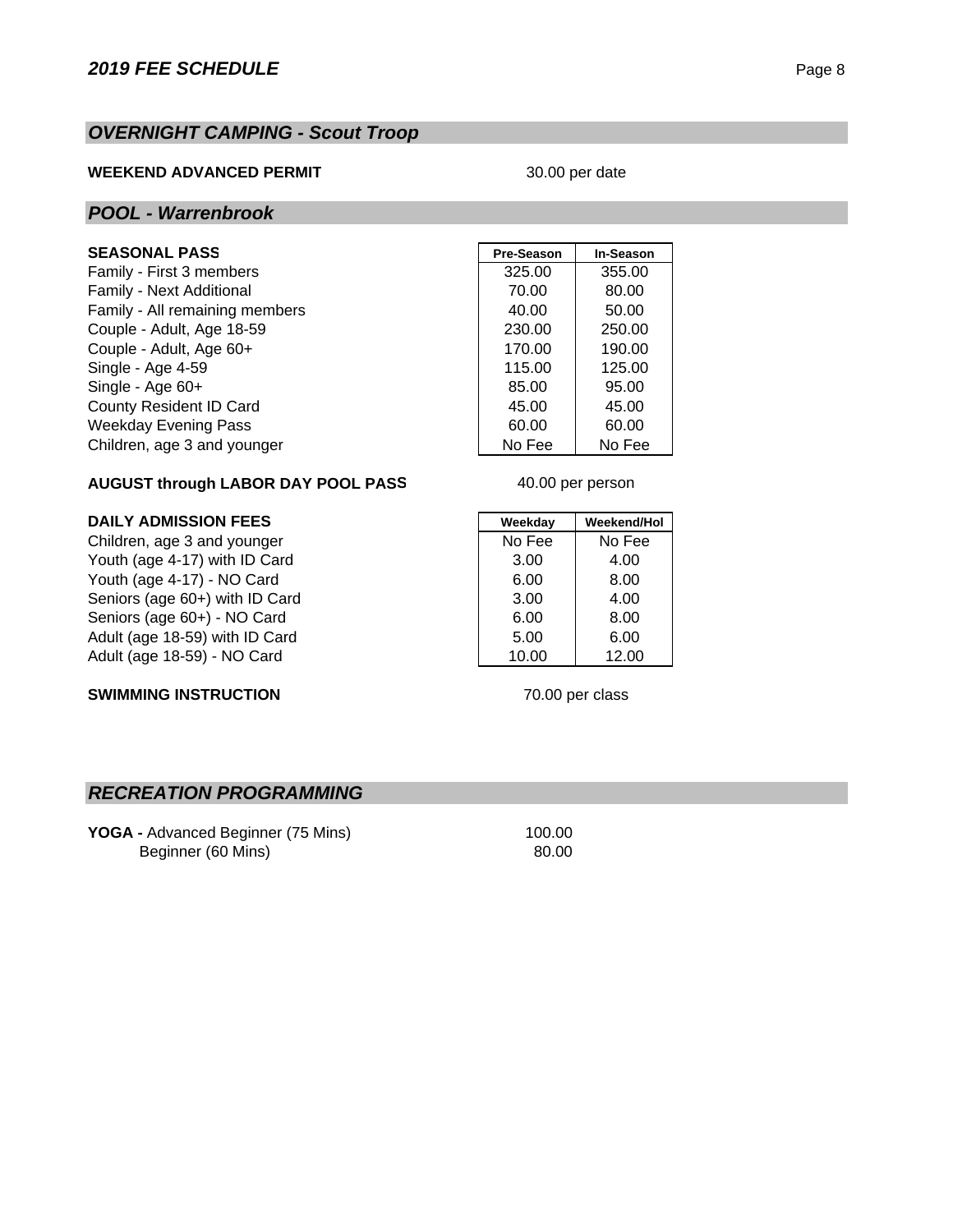# *OVERNIGHT CAMPING - Scout Troop*

## **WEEKEND ADVANCED PERMIT**

#### 30.00 per date

### *POOL - Warrenbrook*

# **SEASONAL PASS**

Family - First 3 members Family - Next Additional Family - All remaining members Couple - Adult, Age 18-59. Couple - Adult, Age 60+ Single - Age 4-59 Single - Age 60+ County Resident ID Card Weekday Evening Pass Children, age 3 and younger

| <b>Pre-Season</b> | <b>In-Season</b> |
|-------------------|------------------|
| 325.00            | 355.00           |
| 70.00             | 80.00            |
| 40.00             | 50.00            |
| 230.00            | 250.00           |
| 170.00            | 190.00           |
| 115.00            | 125.00           |
| 85.00             | 95.00            |
| 45.00             | 45.00            |
| 60.00             | 60.00            |
| No Fee            | No Fee           |

### **AUGUST through LABOR DAY POOL PASS**

### **DAILY ADMISSION FEES Weekday** Weekday Weekend/Hol

Children, age 3 and younger No Fee No Fee No Fee Youth (age 4-17) with ID Card 3.00 4.00 Youth (age 4-17) - NO Card 6.00 8.00 Seniors (age 60+) with ID Card 3.00 4.00 Seniors (age 60+) - NO Card 6.00 8.00 Adult (age 18-59) with ID Card 6.00 6.00 Adult (age 18-59) - NO Card 10.00 12.00

40.00 per person

### **SWIMMING INSTRUCTION**

70.00 per class

# *RECREATION PROGRAMMING*

**YOGA - Advanced Beginner (75 Mins) 100.00** Beginner (60 Mins) 80.00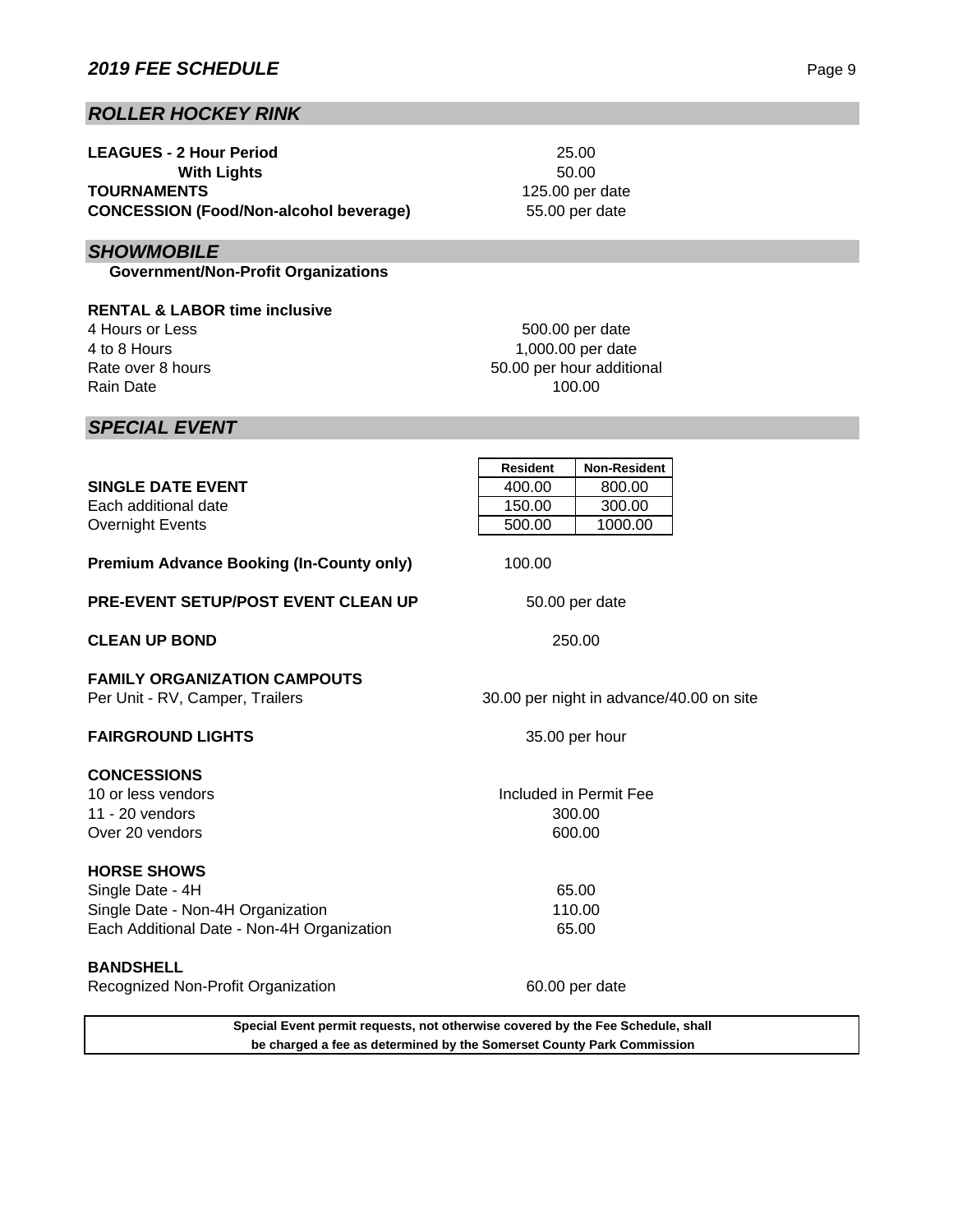# *ROLLER HOCKEY RINK*

| <b>LEAGUES - 2 Hour Period</b>                |
|-----------------------------------------------|
| <b>With Lights</b>                            |
| <b>TOURNAMENTS</b>                            |
| <b>CONCESSION (Food/Non-alcohol beverage)</b> |

# *SHOWMOBILE*

 **Government/Non-Profit Organizations**

**RENTAL & LABOR time inclusive** 4 Hours or Less 4 to 8 Hours Rate over 8 hours Rain Date

50.00 per hour additional 100.00 500.00 per date 1,000.00 per date

25.00

50.00

55.00 per date

125.00 per date

*SPECIAL EVENT*

|                                                                                 | <b>Resident</b>                          | <b>Non-Resident</b>    |  |
|---------------------------------------------------------------------------------|------------------------------------------|------------------------|--|
| <b>SINGLE DATE EVENT</b>                                                        | 400.00                                   | 800.00                 |  |
| Each additional date                                                            | 150.00                                   | 300.00                 |  |
| <b>Overnight Events</b>                                                         | 500.00                                   | 1000.00                |  |
| <b>Premium Advance Booking (In-County only)</b>                                 | 100.00                                   |                        |  |
| <b>PRE-EVENT SETUP/POST EVENT CLEAN UP</b>                                      | 50.00 per date                           |                        |  |
| <b>CLEAN UP BOND</b>                                                            | 250.00                                   |                        |  |
| <b>FAMILY ORGANIZATION CAMPOUTS</b><br>Per Unit - RV, Camper, Trailers          | 30.00 per night in advance/40.00 on site |                        |  |
| <b>FAIRGROUND LIGHTS</b>                                                        | 35.00 per hour                           |                        |  |
| <b>CONCESSIONS</b>                                                              |                                          |                        |  |
| 10 or less vendors                                                              |                                          | Included in Permit Fee |  |
| 11 - $20$ vendors                                                               |                                          | 300.00                 |  |
| Over 20 vendors                                                                 | 600.00                                   |                        |  |
| <b>HORSE SHOWS</b>                                                              |                                          |                        |  |
| Single Date - 4H                                                                |                                          | 65.00                  |  |
| Single Date - Non-4H Organization                                               | 110.00                                   |                        |  |
| Each Additional Date - Non-4H Organization                                      | 65.00                                    |                        |  |
| <b>BANDSHELL</b>                                                                |                                          |                        |  |
| Recognized Non-Profit Organization                                              |                                          | 60.00 per date         |  |
| Special Event permit requests, not otherwise covered by the Fee Schedule, shall |                                          |                        |  |

**be charged a fee as determined by the Somerset County Park Commission**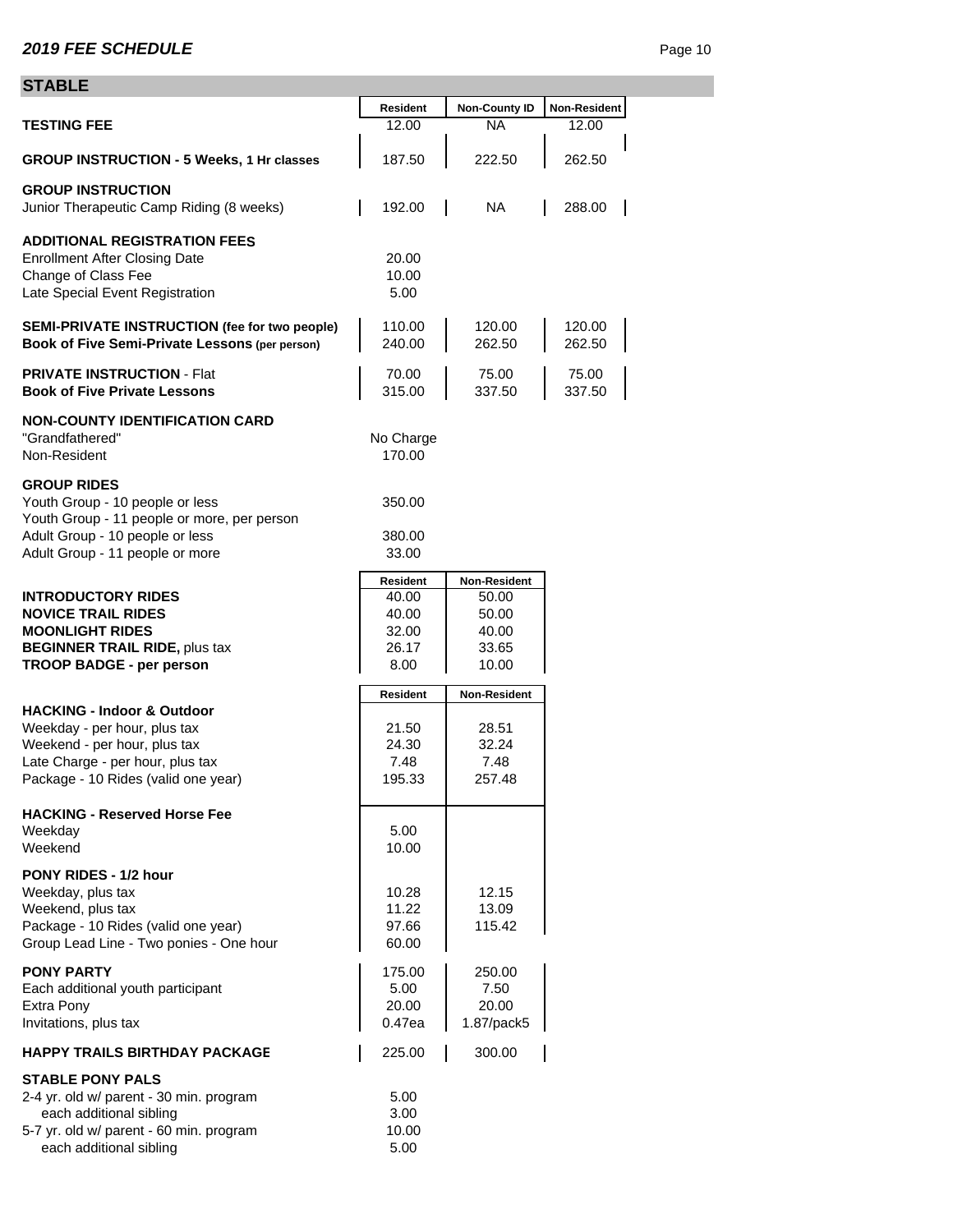# **STABLE**

| ᄓᄭᅛᄂᄂ                                                                                                                                                                            |                                                      |                                                           |                       |
|----------------------------------------------------------------------------------------------------------------------------------------------------------------------------------|------------------------------------------------------|-----------------------------------------------------------|-----------------------|
| <b>TESTING FEE</b>                                                                                                                                                               | Resident<br>12.00                                    | <b>Non-County ID</b><br>ΝA                                | Non-Resident<br>12.00 |
| <b>GROUP INSTRUCTION - 5 Weeks, 1 Hr classes</b>                                                                                                                                 | 187.50                                               | 222.50                                                    | 262.50                |
| <b>GROUP INSTRUCTION</b><br>Junior Therapeutic Camp Riding (8 weeks)                                                                                                             | 192.00                                               | <b>NA</b>                                                 | 288.00                |
| <b>ADDITIONAL REGISTRATION FEES</b><br><b>Enrollment After Closing Date</b><br>Change of Class Fee<br>Late Special Event Registration                                            | 20.00<br>10.00<br>5.00                               |                                                           |                       |
| SEMI-PRIVATE INSTRUCTION (fee for two people)<br>Book of Five Semi-Private Lessons (per person)                                                                                  | 110.00<br>240.00                                     | 120.00<br>262.50                                          | 120.00<br>262.50      |
| <b>PRIVATE INSTRUCTION - Flat</b><br><b>Book of Five Private Lessons</b>                                                                                                         | 70.00<br>315.00                                      | 75.00<br>337.50                                           | 75.00<br>337.50       |
| <b>NON-COUNTY IDENTIFICATION CARD</b><br>"Grandfathered"<br>Non-Resident                                                                                                         | No Charge<br>170.00                                  |                                                           |                       |
| <b>GROUP RIDES</b><br>Youth Group - 10 people or less<br>Youth Group - 11 people or more, per person                                                                             | 350.00                                               |                                                           |                       |
| Adult Group - 10 people or less<br>Adult Group - 11 people or more                                                                                                               | 380.00<br>33.00                                      |                                                           |                       |
| <b>INTRODUCTORY RIDES</b><br><b>NOVICE TRAIL RIDES</b><br><b>MOONLIGHT RIDES</b><br><b>BEGINNER TRAIL RIDE, plus tax</b><br><b>TROOP BADGE - per person</b>                      | Resident<br>40.00<br>40.00<br>32.00<br>26.17<br>8.00 | Non-Resident<br>50.00<br>50.00<br>40.00<br>33.65<br>10.00 |                       |
|                                                                                                                                                                                  | Resident                                             | Non-Resident                                              |                       |
| <b>HACKING - Indoor &amp; Outdoor</b><br>Weekday - per hour, plus tax<br>Weekend - per hour, plus tax<br>Late Charge - per hour, plus tax<br>Package - 10 Rides (valid one year) | 21.50<br>24.30<br>7.48<br>195.33                     | 28.51<br>32.24<br>7.48<br>257.48                          |                       |
| <b>HACKING - Reserved Horse Fee</b><br>Weekday<br>Weekend                                                                                                                        | 5.00<br>10.00                                        |                                                           |                       |
| PONY RIDES - 1/2 hour<br>Weekday, plus tax<br>Weekend, plus tax<br>Package - 10 Rides (valid one year)<br>Group Lead Line - Two ponies - One hour                                | 10.28<br>11.22<br>97.66<br>60.00                     | 12.15<br>13.09<br>115.42                                  |                       |
| <b>PONY PARTY</b><br>Each additional youth participant<br>Extra Pony<br>Invitations, plus tax                                                                                    | 175.00<br>5.00<br>20.00<br>0.47ea                    | 250.00<br>7.50<br>20.00<br>1.87/pack5                     |                       |
| <b>HAPPY TRAILS BIRTHDAY PACKAGE</b>                                                                                                                                             | 225.00                                               | 300.00                                                    |                       |
| <b>STABLE PONY PALS</b><br>2-4 yr. old w/ parent - 30 min. program<br>each additional sibling<br>5-7 yr. old w/ parent - 60 min. program<br>each additional sibling              | 5.00<br>3.00<br>10.00<br>5.00                        |                                                           |                       |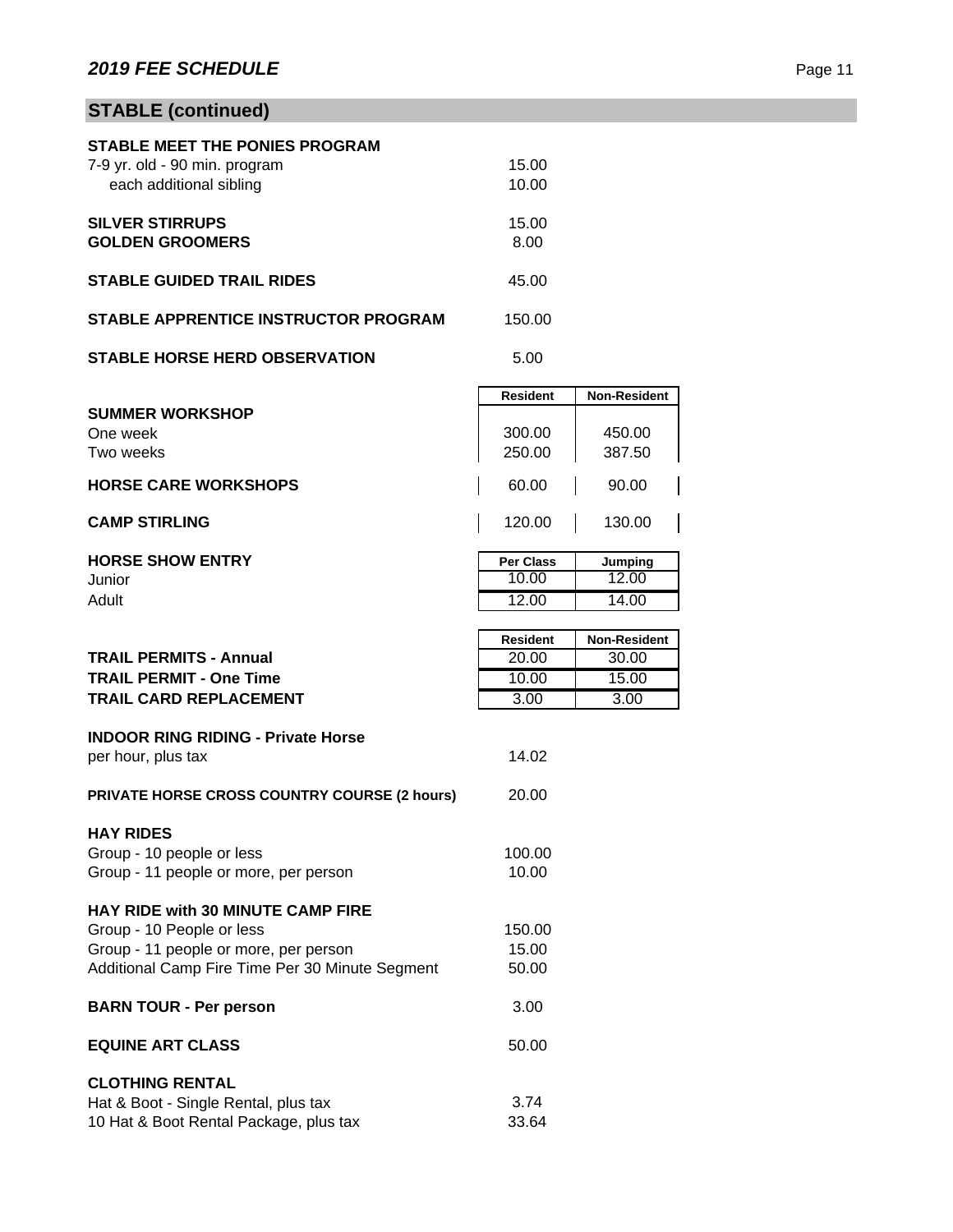# **STABLE (continued)**

| STABLE MEET THE PONIES PROGRAM       |        |
|--------------------------------------|--------|
| 7-9 yr. old - 90 min. program        | 15.00  |
| each additional sibling              | 10.00  |
|                                      |        |
| <b>SILVER STIRRUPS</b>               | 15.00  |
| <b>GOLDEN GROOMERS</b>               | 8.00   |
|                                      |        |
| <b>STABLE GUIDED TRAIL RIDES</b>     | 45.00  |
| STABLE APPRENTICE INSTRUCTOR PROGRAM | 150.00 |
|                                      |        |
| <b>STABLE HORSE HERD OBSERVATION</b> | 5.00   |

|                             |  | <b>Resident</b> |  | <b>Non-Resident</b> |
|-----------------------------|--|-----------------|--|---------------------|
| <b>SUMMER WORKSHOP</b>      |  |                 |  |                     |
| One week                    |  | 300.00          |  | 450.00              |
| Two weeks                   |  | 250.00          |  | 387.50              |
| <b>HORSE CARE WORKSHOPS</b> |  | 60.00           |  | 90.00               |
| <b>CAMP STIRLING</b>        |  | 120.00          |  | 130.00              |

| <b>HORSE SHOW ENTRY</b> | <b>Per Class</b> | Jumping |
|-------------------------|------------------|---------|
| Junior                  | 10.00            | 12.00   |
| Adult                   | 12.00            | 14.00   |
|                         |                  |         |

|                                                 | <b>Resident</b> | <b>Non-Resident</b> |
|-------------------------------------------------|-----------------|---------------------|
| <b>TRAIL PERMITS - Annual</b>                   | 20.00           | 30.00               |
| <b>TRAIL PERMIT - One Time</b>                  | 10.00           | 15.00               |
| <b>TRAIL CARD REPLACEMENT</b>                   | 3.00            | 3.00                |
|                                                 |                 |                     |
| <b>INDOOR RING RIDING - Private Horse</b>       | 14.02           |                     |
| per hour, plus tax                              |                 |                     |
| PRIVATE HORSE CROSS COUNTRY COURSE (2 hours)    | 20.00           |                     |
|                                                 |                 |                     |
| <b>HAY RIDES</b>                                |                 |                     |
| Group - 10 people or less                       | 100.00          |                     |
| Group - 11 people or more, per person           | 10.00           |                     |
|                                                 |                 |                     |
| <b>HAY RIDE with 30 MINUTE CAMP FIRE</b>        |                 |                     |
| Group - 10 People or less                       | 150.00          |                     |
| Group - 11 people or more, per person           | 15.00           |                     |
| Additional Camp Fire Time Per 30 Minute Segment | 50.00           |                     |
| <b>BARN TOUR - Per person</b>                   | 3.00            |                     |
|                                                 |                 |                     |
| <b>EQUINE ART CLASS</b>                         | 50.00           |                     |
|                                                 |                 |                     |
| <b>CLOTHING RENTAL</b>                          |                 |                     |
| Hat & Boot - Single Rental, plus tax            | 3.74            |                     |
| 10 Hat & Boot Rental Package, plus tax          | 33.64           |                     |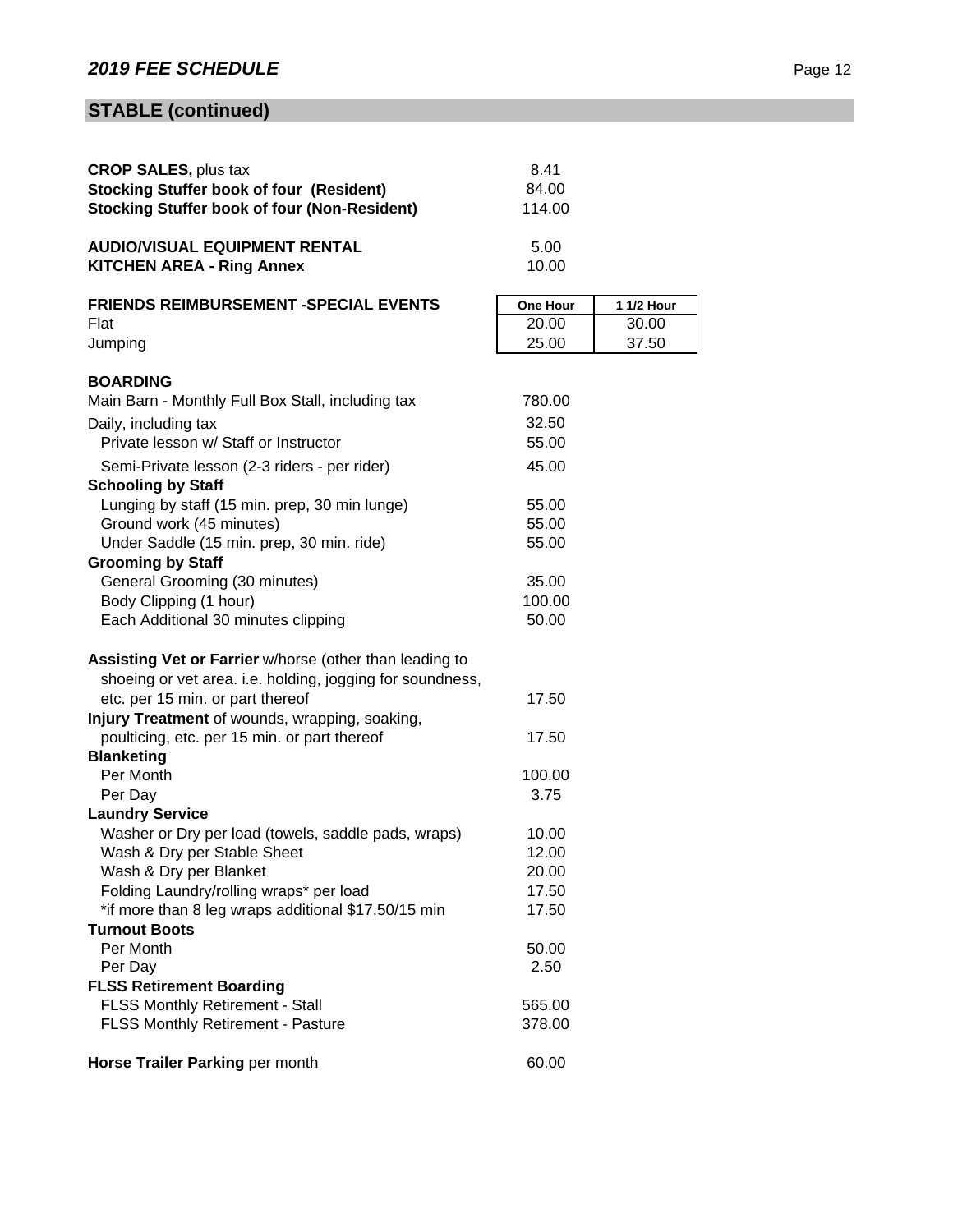# **STABLE (continued)**

| <b>CROP SALES, plus tax</b>                                                 | 8.41            |            |
|-----------------------------------------------------------------------------|-----------------|------------|
| <b>Stocking Stuffer book of four (Resident)</b>                             | 84.00           |            |
| <b>Stocking Stuffer book of four (Non-Resident)</b>                         | 114.00          |            |
| <b>AUDIO/VISUAL EQUIPMENT RENTAL</b>                                        | 5.00            |            |
| <b>KITCHEN AREA - Ring Annex</b>                                            | 10.00           |            |
| <b>FRIENDS REIMBURSEMENT -SPECIAL EVENTS</b>                                | <b>One Hour</b> | 1 1/2 Hour |
| Flat                                                                        | 20.00           | 30.00      |
| Jumping                                                                     | 25.00           | 37.50      |
| <b>BOARDING</b>                                                             |                 |            |
| Main Barn - Monthly Full Box Stall, including tax                           | 780.00          |            |
| Daily, including tax                                                        | 32.50           |            |
| Private lesson w/ Staff or Instructor                                       | 55.00           |            |
| Semi-Private lesson (2-3 riders - per rider)                                | 45.00           |            |
| <b>Schooling by Staff</b>                                                   |                 |            |
| Lunging by staff (15 min. prep, 30 min lunge)                               | 55.00           |            |
| Ground work (45 minutes)                                                    | 55.00           |            |
| Under Saddle (15 min. prep, 30 min. ride)                                   | 55.00           |            |
| <b>Grooming by Staff</b>                                                    |                 |            |
| General Grooming (30 minutes)                                               | 35.00           |            |
| Body Clipping (1 hour)                                                      | 100.00          |            |
| Each Additional 30 minutes clipping                                         | 50.00           |            |
| Assisting Vet or Farrier w/horse (other than leading to                     |                 |            |
| shoeing or vet area. i.e. holding, jogging for soundness,                   |                 |            |
| etc. per 15 min. or part thereof                                            | 17.50           |            |
| Injury Treatment of wounds, wrapping, soaking,                              |                 |            |
| poulticing, etc. per 15 min. or part thereof                                | 17.50           |            |
| <b>Blanketing</b>                                                           |                 |            |
| Per Month                                                                   | 100.00          |            |
| Per Day                                                                     | 3.75            |            |
| <b>Laundry Service</b>                                                      |                 |            |
| Washer or Dry per load (towels, saddle pads, wraps)                         | 10.00           |            |
| Wash & Dry per Stable Sheet                                                 | 12.00           |            |
| Wash & Dry per Blanket                                                      | 20.00           |            |
| Folding Laundry/rolling wraps* per load                                     | 17.50           |            |
| *if more than 8 leg wraps additional \$17.50/15 min<br><b>Turnout Boots</b> | 17.50           |            |
| Per Month                                                                   | 50.00           |            |
| Per Day                                                                     | 2.50            |            |
| <b>FLSS Retirement Boarding</b>                                             |                 |            |
| <b>FLSS Monthly Retirement - Stall</b>                                      | 565.00          |            |
| FLSS Monthly Retirement - Pasture                                           | 378.00          |            |
| Horse Trailer Parking per month                                             | 60.00           |            |
|                                                                             |                 |            |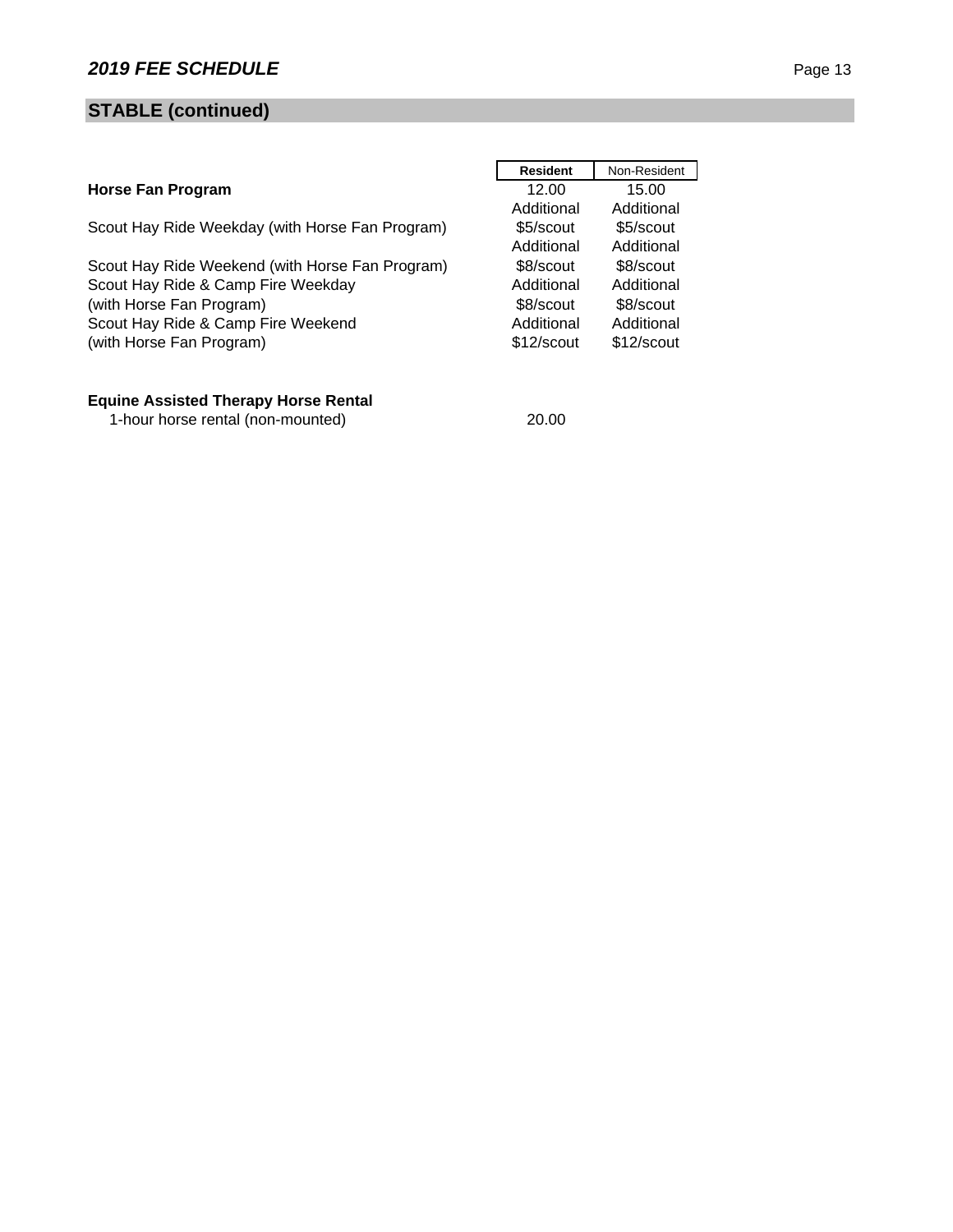# **STABLE (continued)**

|                                                 | <b>Resident</b> | Non-Resident |
|-------------------------------------------------|-----------------|--------------|
| <b>Horse Fan Program</b>                        | 12.00           | 15.00        |
|                                                 | Additional      | Additional   |
| Scout Hay Ride Weekday (with Horse Fan Program) | \$5/scout       | \$5/scout    |
|                                                 | Additional      | Additional   |
| Scout Hay Ride Weekend (with Horse Fan Program) | \$8/scout       | \$8/scout    |
| Scout Hay Ride & Camp Fire Weekday              | Additional      | Additional   |
| (with Horse Fan Program)                        | \$8/scout       | \$8/scout    |
| Scout Hay Ride & Camp Fire Weekend              | Additional      | Additional   |
| (with Horse Fan Program)                        | \$12/scout      | \$12/scout   |
|                                                 |                 |              |

# **Equine Assisted Therapy Horse Rental**

1-hour horse rental (non-mounted) 20.00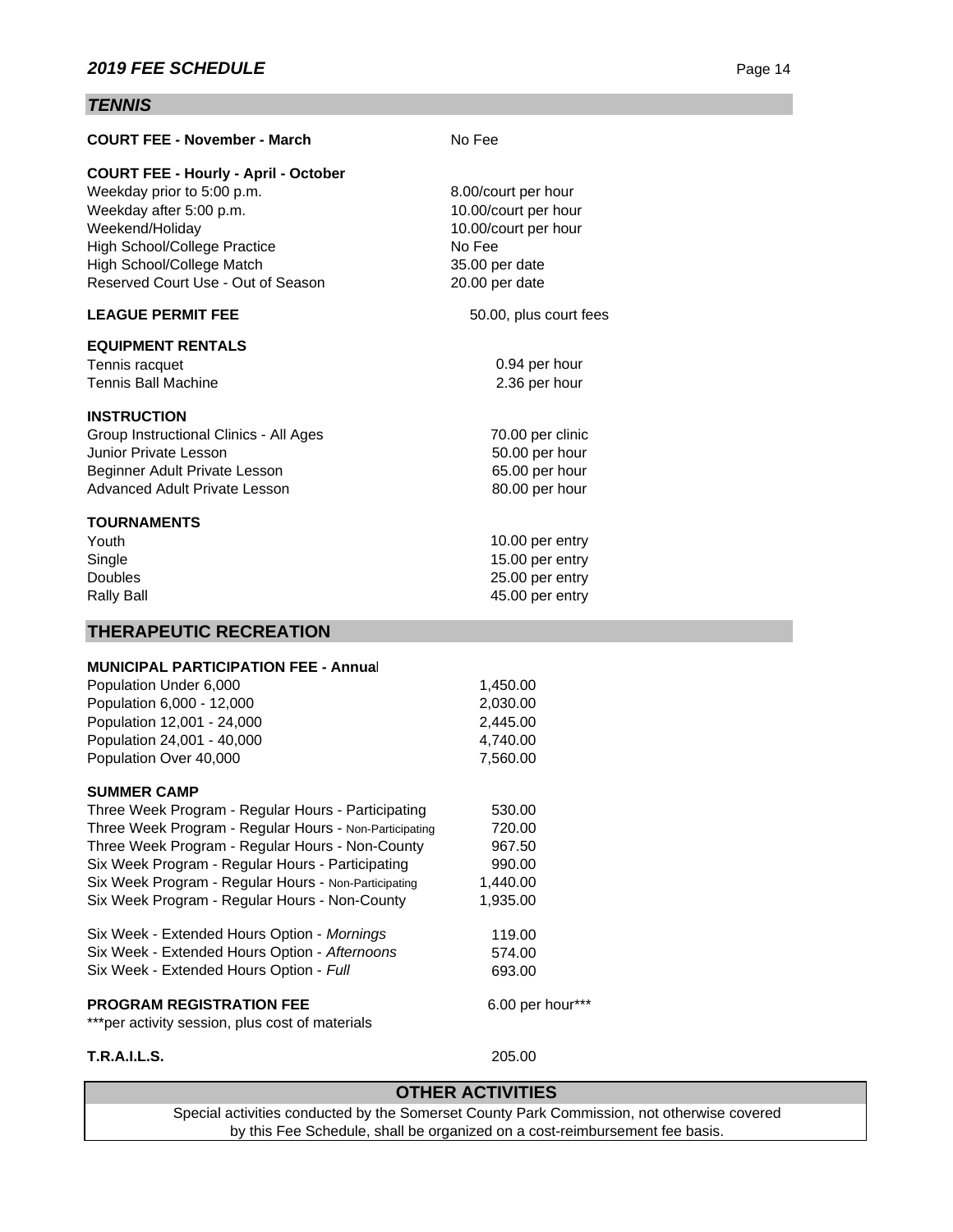# *TENNIS*

| <b>COURT FEE - November - March</b>                    | No Fee                  |
|--------------------------------------------------------|-------------------------|
| <b>COURT FEE - Hourly - April - October</b>            |                         |
| Weekday prior to 5:00 p.m.                             | 8.00/court per hour     |
| Weekday after 5:00 p.m.                                | 10.00/court per hour    |
| Weekend/Holiday                                        | 10.00/court per hour    |
| High School/College Practice                           | No Fee                  |
| High School/College Match                              | 35.00 per date          |
| Reserved Court Use - Out of Season                     | 20.00 per date          |
| <b>LEAGUE PERMIT FEE</b>                               | 50.00, plus court fees  |
|                                                        |                         |
| <b>EQUIPMENT RENTALS</b>                               |                         |
| Tennis racquet                                         | 0.94 per hour           |
| <b>Tennis Ball Machine</b>                             | 2.36 per hour           |
| <b>INSTRUCTION</b>                                     |                         |
| Group Instructional Clinics - All Ages                 | 70.00 per clinic        |
| Junior Private Lesson                                  | 50.00 per hour          |
| Beginner Adult Private Lesson                          | 65.00 per hour          |
| Advanced Adult Private Lesson                          | 80.00 per hour          |
| <b>TOURNAMENTS</b>                                     |                         |
| Youth                                                  | 10.00 per entry         |
| Single                                                 | 15.00 per entry         |
| <b>Doubles</b>                                         | 25.00 per entry         |
| <b>Rally Ball</b>                                      | 45.00 per entry         |
|                                                        |                         |
| <b>THERAPEUTIC RECREATION</b>                          |                         |
| <b>MUNICIPAL PARTICIPATION FEE - Annual</b>            |                         |
| Population Under 6,000                                 | 1,450.00                |
| Population 6,000 - 12,000                              | 2,030.00                |
| Population 12,001 - 24,000                             | 2,445.00                |
| Population 24,001 - 40,000                             | 4,740.00                |
| Population Over 40,000                                 | 7,560.00                |
| <b>SUMMER CAMP</b>                                     |                         |
| Three Week Program - Regular Hours - Participating     | 530.00                  |
| Three Week Program - Regular Hours - Non-Participating | 720.00                  |
| Three Week Program - Regular Hours - Non-County        | 967.50                  |
| Six Week Program - Regular Hours - Participating       | 990.00                  |
| Six Week Program - Regular Hours - Non-Participating   | 1,440.00                |
| Six Week Program - Regular Hours - Non-County          | 1,935.00                |
|                                                        |                         |
| Six Week - Extended Hours Option - Mornings            | 119.00                  |
| Six Week - Extended Hours Option - Afternoons          | 574.00                  |
| Six Week - Extended Hours Option - Full                | 693.00                  |
| <b>PROGRAM REGISTRATION FEE</b>                        | 6.00 per hour***        |
| ***per activity session, plus cost of materials        |                         |
|                                                        |                         |
| <b>T.R.A.I.L.S.</b>                                    | 205.00                  |
|                                                        | <b>OTHER ACTIVITIES</b> |

Special activities conducted by the Somerset County Park Commission, not otherwise covered by this Fee Schedule, shall be organized on a cost-reimbursement fee basis.